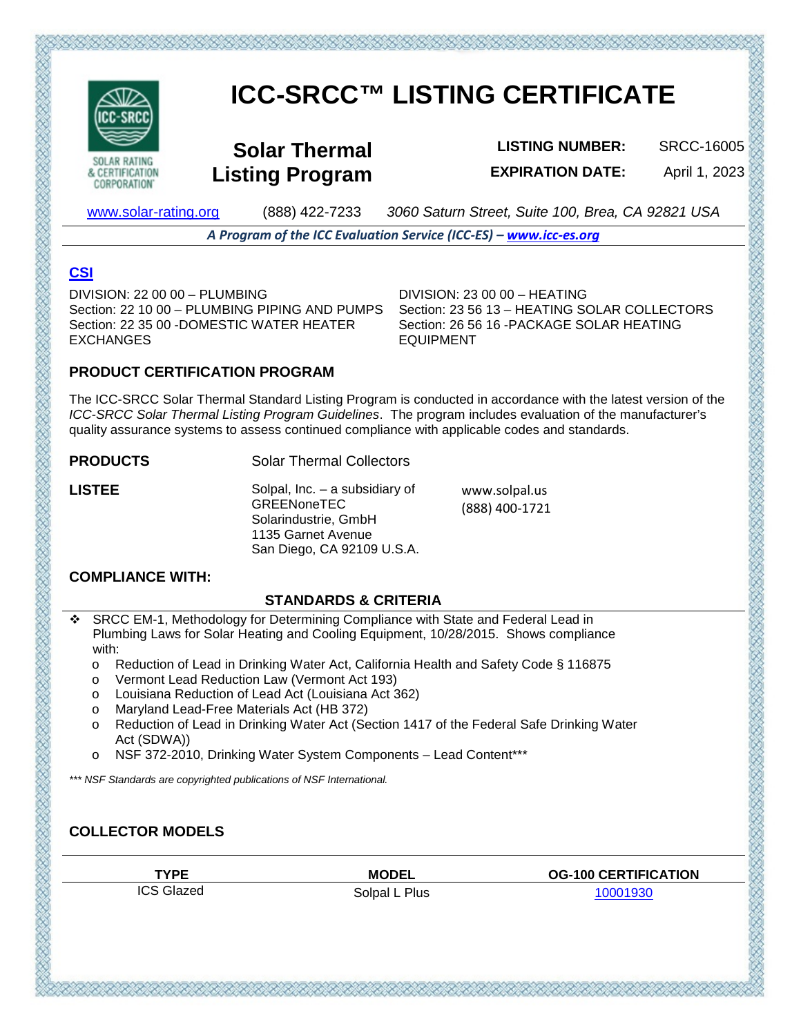

**CORPORATION** 

# **ICC-SRCC™ LISTING CERTIFICATE**

**Solar Thermal Listing Program**

**LISTING NUMBER:** SRCC-16005 **EXPIRATION DATE:** April 1, 2023

[www.solar-rating.org](http://www.solar-rating.org/) (888) 422-7233 *3060 Saturn Street, Suite 100, Brea, CA 92821 USA*

*A Program of the ICC Evaluation Service (ICC-ES) – [www.icc-es.org](http://www.icc-es.org/)*

# **[CSI](https://www.arcat.com/divs/building_products.shtml)**

DIVISION: 22 00 00 – PLUMBING Section: 22 10 00 – PLUMBING PIPING AND PUMPS Section: 22 35 00 -DOMESTIC WATER HEATER EXCHANGES

DIVISION: 23 00 00 – HEATING Section: 23 56 13 – HEATING SOLAR COLLECTORS Section: 26 56 16 -PACKAGE SOLAR HEATING **FOUPMENT** 

## **PRODUCT CERTIFICATION PROGRAM**

The ICC-SRCC Solar Thermal Standard Listing Program is conducted in accordance with the latest version of the *ICC-SRCC Solar Thermal Listing Program Guidelines*. The program includes evaluation of the manufacturer's quality assurance systems to assess continued compliance with applicable codes and standards.

#### **PRODUCTS** Solar Thermal Collectors

**LISTEE** Solpal, Inc. – a subsidiary of **GREENoneTEC** Solarindustrie, GmbH 1135 Garnet Avenue San Diego, CA 92109 U.S.A. www.solpal.us (888) 400-1721

## **COMPLIANCE WITH:**

#### **STANDARDS & CRITERIA**

- SRCC EM-1, Methodology for Determining Compliance with State and Federal Lead in Plumbing Laws for Solar Heating and Cooling Equipment, 10/28/2015. Shows compliance with:
	- o Reduction of Lead in Drinking Water Act, California Health and Safety Code § 116875
	- o Vermont Lead Reduction Law (Vermont Act 193)
	- o Louisiana Reduction of Lead Act (Louisiana Act 362)
	- o Maryland Lead-Free Materials Act (HB 372)
	- o Reduction of Lead in Drinking Water Act (Section 1417 of the Federal Safe Drinking Water Act (SDWA))
	- NSF 372-2010, Drinking Water System Components Lead Content\*\*\*

*\*\*\* NSF Standards are copyrighted publications of NSF International.*

# **COLLECTOR MODELS**

ICS Glazed Solpal L Plus [10001930](https://secure.solar-rating.org/Certification/Ratings/RatingsReport.aspx?device=7032&units=METRICS)

とうせんごうてんごうかいじょうかい かいじょう かいじょう かいじょうかい いっとうどう

**TYPE MODEL OG-100 CERTIFICATION**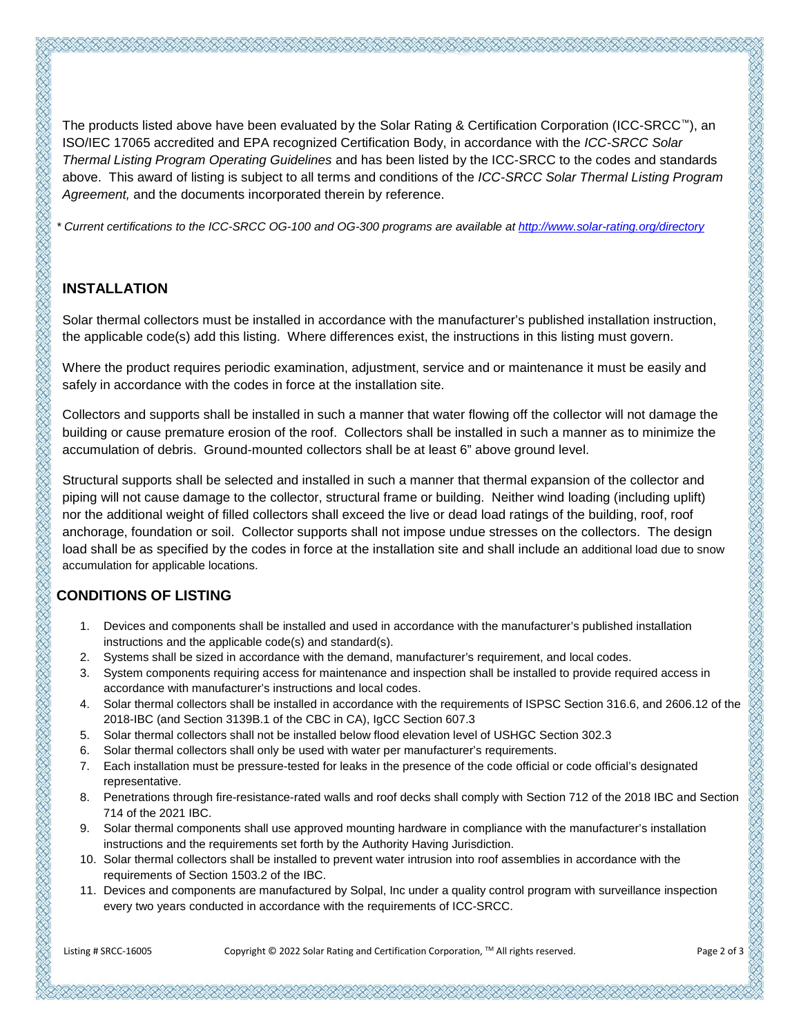The products listed above have been evaluated by the Solar Rating & Certification Corporation (ICC-SRCC™), an ISO/IEC 17065 accredited and EPA recognized Certification Body, in accordance with the *ICC-SRCC Solar Thermal Listing Program Operating Guidelines* and has been listed by the ICC-SRCC to the codes and standards above. This award of listing is subject to all terms and conditions of the *ICC-SRCC Solar Thermal Listing Program Agreement,* and the documents incorporated therein by reference.

*\* Current certifications to the ICC-SRCC OG-100 and OG-300 programs are available a[t http://www.solar-rating.org/directory](http://www.solar-rating.org/directory)*

#### **INSTALLATION**

Solar thermal collectors must be installed in accordance with the manufacturer's published installation instruction, the applicable code(s) add this listing. Where differences exist, the instructions in this listing must govern.

Where the product requires periodic examination, adjustment, service and or maintenance it must be easily and safely in accordance with the codes in force at the installation site.

Collectors and supports shall be installed in such a manner that water flowing off the collector will not damage the building or cause premature erosion of the roof. Collectors shall be installed in such a manner as to minimize the accumulation of debris. Ground-mounted collectors shall be at least 6" above ground level.

Structural supports shall be selected and installed in such a manner that thermal expansion of the collector and piping will not cause damage to the collector, structural frame or building. Neither wind loading (including uplift) nor the additional weight of filled collectors shall exceed the live or dead load ratings of the building, roof, roof anchorage, foundation or soil. Collector supports shall not impose undue stresses on the collectors. The design load shall be as specified by the codes in force at the installation site and shall include an additional load due to snow accumulation for applicable locations.

# **CONDITIONS OF LISTING**

- 1. Devices and components shall be installed and used in accordance with the manufacturer's published installation instructions and the applicable code(s) and standard(s).
- 2. Systems shall be sized in accordance with the demand, manufacturer's requirement, and local codes.
- 3. System components requiring access for maintenance and inspection shall be installed to provide required access in accordance with manufacturer's instructions and local codes.
- 4. Solar thermal collectors shall be installed in accordance with the requirements of ISPSC Section 316.6, and 2606.12 of the 2018-IBC (and Section 3139B.1 of the CBC in CA), IgCC Section 607.3
- 5. Solar thermal collectors shall not be installed below flood elevation level of USHGC Section 302.3
- 6. Solar thermal collectors shall only be used with water per manufacturer's requirements.
- 7. Each installation must be pressure-tested for leaks in the presence of the code official or code official's designated representative.
- 8. Penetrations through fire-resistance-rated walls and roof decks shall comply with Section 712 of the 2018 IBC and Section 714 of the 2021 IBC.
- 9. Solar thermal components shall use approved mounting hardware in compliance with the manufacturer's installation instructions and the requirements set forth by the Authority Having Jurisdiction.
- 10. Solar thermal collectors shall be installed to prevent water intrusion into roof assemblies in accordance with the requirements of Section 1503.2 of the IBC.
- 11. Devices and components are manufactured by Solpal, Inc under a quality control program with surveillance inspection every two years conducted in accordance with the requirements of ICC-SRCC.

Listing # SRCC-16005 Copyright © 2022 Solar Rating and Certification Corporation, TM All rights reserved. Page 2 of 3